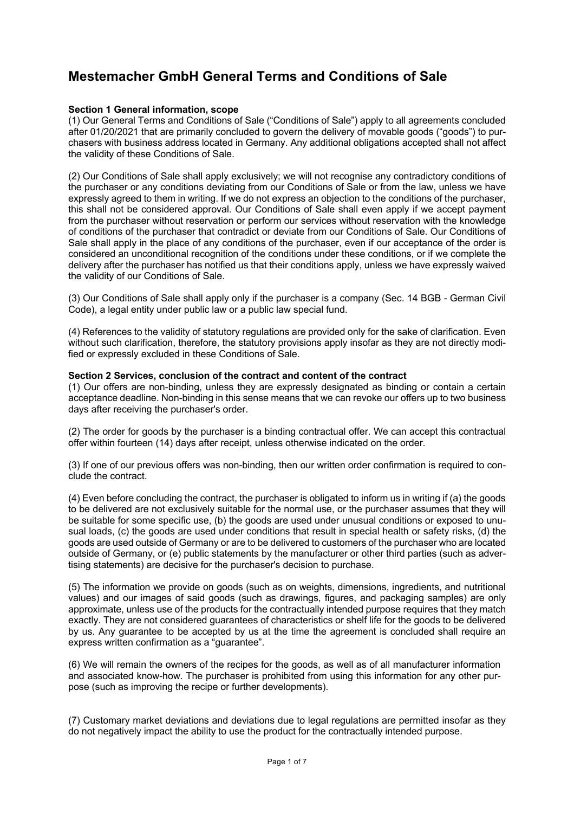# **Mestemacher GmbH General Terms and Conditions of Sale**

## **Section 1 General information, scope**

(1) Our General Terms and Conditions of Sale ("Conditions of Sale") apply to all agreements concluded after 01/20/2021 that are primarily concluded to govern the delivery of movable goods ("goods") to purchasers with business address located in Germany. Any additional obligations accepted shall not affect the validity of these Conditions of Sale.

(2) Our Conditions of Sale shall apply exclusively; we will not recognise any contradictory conditions of the purchaser or any conditions deviating from our Conditions of Sale or from the law, unless we have expressly agreed to them in writing. If we do not express an objection to the conditions of the purchaser, this shall not be considered approval. Our Conditions of Sale shall even apply if we accept payment from the purchaser without reservation or perform our services without reservation with the knowledge of conditions of the purchaser that contradict or deviate from our Conditions of Sale. Our Conditions of Sale shall apply in the place of any conditions of the purchaser, even if our acceptance of the order is considered an unconditional recognition of the conditions under these conditions, or if we complete the delivery after the purchaser has notified us that their conditions apply, unless we have expressly waived the validity of our Conditions of Sale.

(3) Our Conditions of Sale shall apply only if the purchaser is a company (Sec. 14 BGB - German Civil Code), a legal entity under public law or a public law special fund.

(4) References to the validity of statutory regulations are provided only for the sake of clarification. Even without such clarification, therefore, the statutory provisions apply insofar as they are not directly modified or expressly excluded in these Conditions of Sale.

### **Section 2 Services, conclusion of the contract and content of the contract**

(1) Our offers are non-binding, unless they are expressly designated as binding or contain a certain acceptance deadline. Non-binding in this sense means that we can revoke our offers up to two business days after receiving the purchaser's order.

(2) The order for goods by the purchaser is a binding contractual offer. We can accept this contractual offer within fourteen (14) days after receipt, unless otherwise indicated on the order.

(3) If one of our previous offers was non-binding, then our written order confirmation is required to conclude the contract.

(4) Even before concluding the contract, the purchaser is obligated to inform us in writing if (a) the goods to be delivered are not exclusively suitable for the normal use, or the purchaser assumes that they will be suitable for some specific use, (b) the goods are used under unusual conditions or exposed to unusual loads, (c) the goods are used under conditions that result in special health or safety risks, (d) the goods are used outside of Germany or are to be delivered to customers of the purchaser who are located outside of Germany, or (e) public statements by the manufacturer or other third parties (such as advertising statements) are decisive for the purchaser's decision to purchase.

(5) The information we provide on goods (such as on weights, dimensions, ingredients, and nutritional values) and our images of said goods (such as drawings, figures, and packaging samples) are only approximate, unless use of the products for the contractually intended purpose requires that they match exactly. They are not considered guarantees of characteristics or shelf life for the goods to be delivered by us. Any guarantee to be accepted by us at the time the agreement is concluded shall require an express written confirmation as a "guarantee".

(6) We will remain the owners of the recipes for the goods, as well as of all manufacturer information and associated know-how. The purchaser is prohibited from using this information for any other purpose (such as improving the recipe or further developments).

(7) Customary market deviations and deviations due to legal regulations are permitted insofar as they do not negatively impact the ability to use the product for the contractually intended purpose.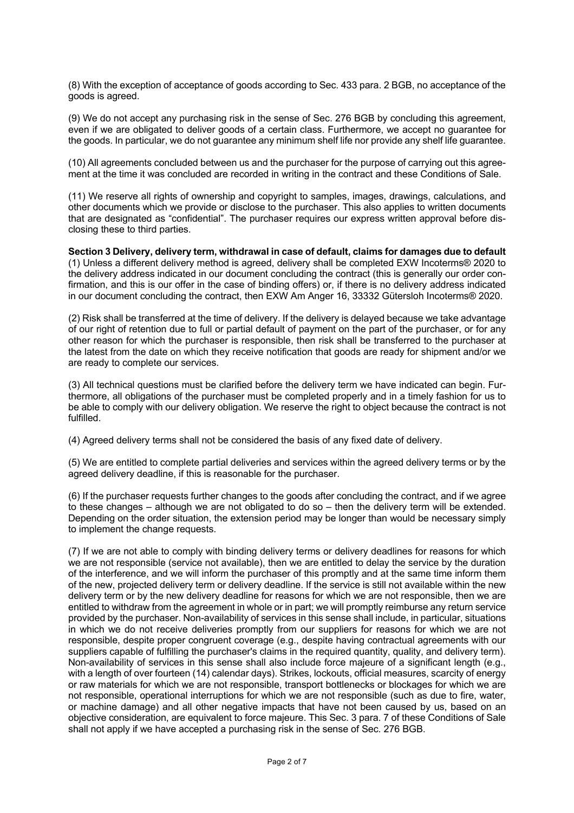(8) With the exception of acceptance of goods according to Sec. 433 para. 2 BGB, no acceptance of the goods is agreed.

(9) We do not accept any purchasing risk in the sense of Sec. 276 BGB by concluding this agreement, even if we are obligated to deliver goods of a certain class. Furthermore, we accept no guarantee for the goods. In particular, we do not guarantee any minimum shelf life nor provide any shelf life guarantee.

(10) All agreements concluded between us and the purchaser for the purpose of carrying out this agreement at the time it was concluded are recorded in writing in the contract and these Conditions of Sale.

(11) We reserve all rights of ownership and copyright to samples, images, drawings, calculations, and other documents which we provide or disclose to the purchaser. This also applies to written documents that are designated as "confidential". The purchaser requires our express written approval before disclosing these to third parties.

**Section 3 Delivery, delivery term, withdrawal in case of default, claims for damages due to default** (1) Unless a different delivery method is agreed, delivery shall be completed EXW Incoterms® 2020 to the delivery address indicated in our document concluding the contract (this is generally our order confirmation, and this is our offer in the case of binding offers) or, if there is no delivery address indicated in our document concluding the contract, then EXW Am Anger 16, 33332 Gütersloh Incoterms® 2020.

(2) Risk shall be transferred at the time of delivery. If the delivery is delayed because we take advantage of our right of retention due to full or partial default of payment on the part of the purchaser, or for any other reason for which the purchaser is responsible, then risk shall be transferred to the purchaser at the latest from the date on which they receive notification that goods are ready for shipment and/or we are ready to complete our services.

(3) All technical questions must be clarified before the delivery term we have indicated can begin. Furthermore, all obligations of the purchaser must be completed properly and in a timely fashion for us to be able to comply with our delivery obligation. We reserve the right to object because the contract is not fulfilled.

(4) Agreed delivery terms shall not be considered the basis of any fixed date of delivery.

(5) We are entitled to complete partial deliveries and services within the agreed delivery terms or by the agreed delivery deadline, if this is reasonable for the purchaser.

(6) If the purchaser requests further changes to the goods after concluding the contract, and if we agree to these changes – although we are not obligated to do so – then the delivery term will be extended. Depending on the order situation, the extension period may be longer than would be necessary simply to implement the change requests.

(7) If we are not able to comply with binding delivery terms or delivery deadlines for reasons for which we are not responsible (service not available), then we are entitled to delay the service by the duration of the interference, and we will inform the purchaser of this promptly and at the same time inform them of the new, projected delivery term or delivery deadline. If the service is still not available within the new delivery term or by the new delivery deadline for reasons for which we are not responsible, then we are entitled to withdraw from the agreement in whole or in part; we will promptly reimburse any return service provided by the purchaser. Non-availability of services in this sense shall include, in particular, situations in which we do not receive deliveries promptly from our suppliers for reasons for which we are not responsible, despite proper congruent coverage (e.g., despite having contractual agreements with our suppliers capable of fulfilling the purchaser's claims in the required quantity, quality, and delivery term). Non-availability of services in this sense shall also include force majeure of a significant length (e.g., with a length of over fourteen (14) calendar days). Strikes, lockouts, official measures, scarcity of energy or raw materials for which we are not responsible, transport bottlenecks or blockages for which we are not responsible, operational interruptions for which we are not responsible (such as due to fire, water, or machine damage) and all other negative impacts that have not been caused by us, based on an objective consideration, are equivalent to force majeure. This Sec. 3 para. 7 of these Conditions of Sale shall not apply if we have accepted a purchasing risk in the sense of Sec. 276 BGB.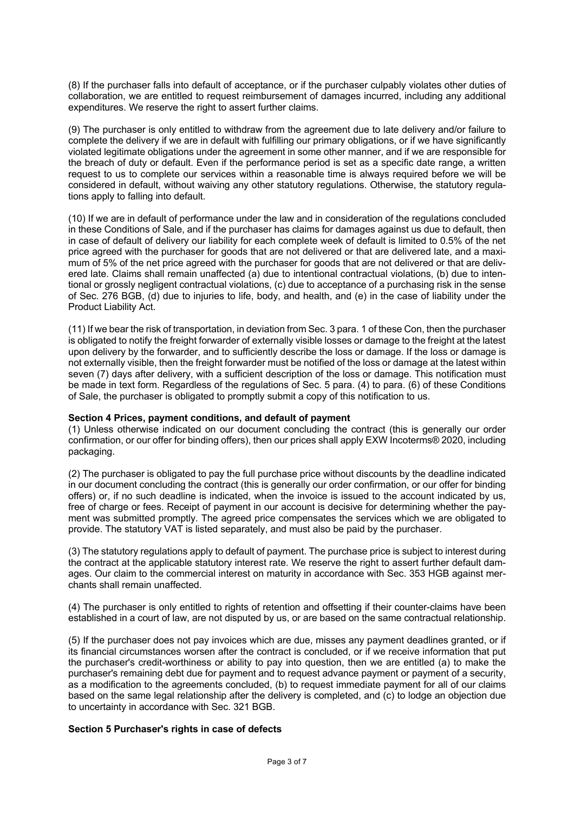(8) If the purchaser falls into default of acceptance, or if the purchaser culpably violates other duties of collaboration, we are entitled to request reimbursement of damages incurred, including any additional expenditures. We reserve the right to assert further claims.

(9) The purchaser is only entitled to withdraw from the agreement due to late delivery and/or failure to complete the delivery if we are in default with fulfilling our primary obligations, or if we have significantly violated legitimate obligations under the agreement in some other manner, and if we are responsible for the breach of duty or default. Even if the performance period is set as a specific date range, a written request to us to complete our services within a reasonable time is always required before we will be considered in default, without waiving any other statutory regulations. Otherwise, the statutory regulations apply to falling into default.

(10) If we are in default of performance under the law and in consideration of the regulations concluded in these Conditions of Sale, and if the purchaser has claims for damages against us due to default, then in case of default of delivery our liability for each complete week of default is limited to 0.5% of the net price agreed with the purchaser for goods that are not delivered or that are delivered late, and a maximum of 5% of the net price agreed with the purchaser for goods that are not delivered or that are delivered late. Claims shall remain unaffected (a) due to intentional contractual violations, (b) due to intentional or grossly negligent contractual violations, (c) due to acceptance of a purchasing risk in the sense of Sec. 276 BGB, (d) due to injuries to life, body, and health, and (e) in the case of liability under the Product Liability Act.

(11) If we bear the risk of transportation, in deviation from Sec. 3 para. 1 of these Con, then the purchaser is obligated to notify the freight forwarder of externally visible losses or damage to the freight at the latest upon delivery by the forwarder, and to sufficiently describe the loss or damage. If the loss or damage is not externally visible, then the freight forwarder must be notified of the loss or damage at the latest within seven (7) days after delivery, with a sufficient description of the loss or damage. This notification must be made in text form. Regardless of the regulations of Sec. 5 para. (4) to para. (6) of these Conditions of Sale, the purchaser is obligated to promptly submit a copy of this notification to us.

## **Section 4 Prices, payment conditions, and default of payment**

(1) Unless otherwise indicated on our document concluding the contract (this is generally our order confirmation, or our offer for binding offers), then our prices shall apply EXW Incoterms® 2020, including packaging.

(2) The purchaser is obligated to pay the full purchase price without discounts by the deadline indicated in our document concluding the contract (this is generally our order confirmation, or our offer for binding offers) or, if no such deadline is indicated, when the invoice is issued to the account indicated by us, free of charge or fees. Receipt of payment in our account is decisive for determining whether the payment was submitted promptly. The agreed price compensates the services which we are obligated to provide. The statutory VAT is listed separately, and must also be paid by the purchaser.

(3) The statutory regulations apply to default of payment. The purchase price is subject to interest during the contract at the applicable statutory interest rate. We reserve the right to assert further default damages. Our claim to the commercial interest on maturity in accordance with Sec. 353 HGB against merchants shall remain unaffected.

(4) The purchaser is only entitled to rights of retention and offsetting if their counter-claims have been established in a court of law, are not disputed by us, or are based on the same contractual relationship.

(5) If the purchaser does not pay invoices which are due, misses any payment deadlines granted, or if its financial circumstances worsen after the contract is concluded, or if we receive information that put the purchaser's credit-worthiness or ability to pay into question, then we are entitled (a) to make the purchaser's remaining debt due for payment and to request advance payment or payment of a security, as a modification to the agreements concluded, (b) to request immediate payment for all of our claims based on the same legal relationship after the delivery is completed, and (c) to lodge an objection due to uncertainty in accordance with Sec. 321 BGB.

## **Section 5 Purchaser's rights in case of defects**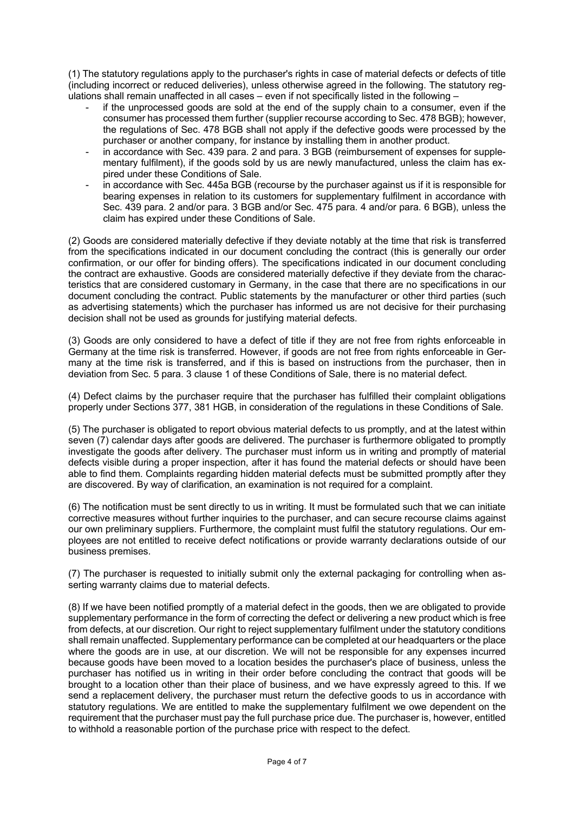(1) The statutory regulations apply to the purchaser's rights in case of material defects or defects of title (including incorrect or reduced deliveries), unless otherwise agreed in the following. The statutory regulations shall remain unaffected in all cases – even if not specifically listed in the following –

- if the unprocessed goods are sold at the end of the supply chain to a consumer, even if the consumer has processed them further (supplier recourse according to Sec. 478 BGB); however, the regulations of Sec. 478 BGB shall not apply if the defective goods were processed by the purchaser or another company, for instance by installing them in another product.
- in accordance with Sec. 439 para. 2 and para. 3 BGB (reimbursement of expenses for supplementary fulfilment), if the goods sold by us are newly manufactured, unless the claim has expired under these Conditions of Sale.
- in accordance with Sec. 445a BGB (recourse by the purchaser against us if it is responsible for bearing expenses in relation to its customers for supplementary fulfilment in accordance with Sec. 439 para. 2 and/or para. 3 BGB and/or Sec. 475 para. 4 and/or para. 6 BGB), unless the claim has expired under these Conditions of Sale.

(2) Goods are considered materially defective if they deviate notably at the time that risk is transferred from the specifications indicated in our document concluding the contract (this is generally our order confirmation, or our offer for binding offers). The specifications indicated in our document concluding the contract are exhaustive. Goods are considered materially defective if they deviate from the characteristics that are considered customary in Germany, in the case that there are no specifications in our document concluding the contract. Public statements by the manufacturer or other third parties (such as advertising statements) which the purchaser has informed us are not decisive for their purchasing decision shall not be used as grounds for justifying material defects.

(3) Goods are only considered to have a defect of title if they are not free from rights enforceable in Germany at the time risk is transferred. However, if goods are not free from rights enforceable in Germany at the time risk is transferred, and if this is based on instructions from the purchaser, then in deviation from Sec. 5 para. 3 clause 1 of these Conditions of Sale, there is no material defect.

(4) Defect claims by the purchaser require that the purchaser has fulfilled their complaint obligations properly under Sections 377, 381 HGB, in consideration of the regulations in these Conditions of Sale.

(5) The purchaser is obligated to report obvious material defects to us promptly, and at the latest within seven (7) calendar days after goods are delivered. The purchaser is furthermore obligated to promptly investigate the goods after delivery. The purchaser must inform us in writing and promptly of material defects visible during a proper inspection, after it has found the material defects or should have been able to find them. Complaints regarding hidden material defects must be submitted promptly after they are discovered. By way of clarification, an examination is not required for a complaint.

(6) The notification must be sent directly to us in writing. It must be formulated such that we can initiate corrective measures without further inquiries to the purchaser, and can secure recourse claims against our own preliminary suppliers. Furthermore, the complaint must fulfil the statutory regulations. Our employees are not entitled to receive defect notifications or provide warranty declarations outside of our business premises.

(7) The purchaser is requested to initially submit only the external packaging for controlling when asserting warranty claims due to material defects.

(8) If we have been notified promptly of a material defect in the goods, then we are obligated to provide supplementary performance in the form of correcting the defect or delivering a new product which is free from defects, at our discretion. Our right to reject supplementary fulfilment under the statutory conditions shall remain unaffected. Supplementary performance can be completed at our headquarters or the place where the goods are in use, at our discretion. We will not be responsible for any expenses incurred because goods have been moved to a location besides the purchaser's place of business, unless the purchaser has notified us in writing in their order before concluding the contract that goods will be brought to a location other than their place of business, and we have expressly agreed to this. If we send a replacement delivery, the purchaser must return the defective goods to us in accordance with statutory regulations. We are entitled to make the supplementary fulfilment we owe dependent on the requirement that the purchaser must pay the full purchase price due. The purchaser is, however, entitled to withhold a reasonable portion of the purchase price with respect to the defect.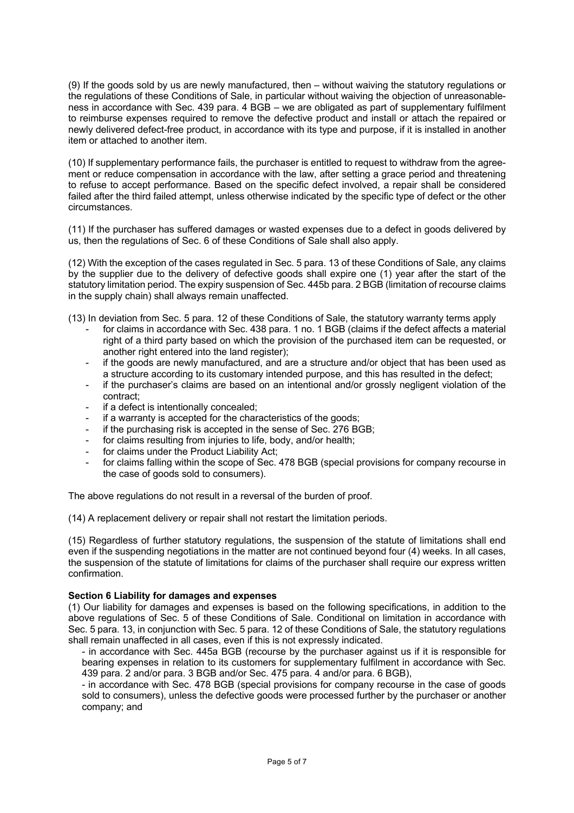(9) If the goods sold by us are newly manufactured, then – without waiving the statutory regulations or the regulations of these Conditions of Sale, in particular without waiving the objection of unreasonableness in accordance with Sec. 439 para. 4 BGB – we are obligated as part of supplementary fulfilment to reimburse expenses required to remove the defective product and install or attach the repaired or newly delivered defect-free product, in accordance with its type and purpose, if it is installed in another item or attached to another item.

(10) If supplementary performance fails, the purchaser is entitled to request to withdraw from the agreement or reduce compensation in accordance with the law, after setting a grace period and threatening to refuse to accept performance. Based on the specific defect involved, a repair shall be considered failed after the third failed attempt, unless otherwise indicated by the specific type of defect or the other circumstances.

(11) If the purchaser has suffered damages or wasted expenses due to a defect in goods delivered by us, then the regulations of Sec. 6 of these Conditions of Sale shall also apply.

(12) With the exception of the cases regulated in Sec. 5 para. 13 of these Conditions of Sale, any claims by the supplier due to the delivery of defective goods shall expire one (1) year after the start of the statutory limitation period. The expiry suspension of Sec. 445b para. 2 BGB (limitation of recourse claims in the supply chain) shall always remain unaffected.

(13) In deviation from Sec. 5 para. 12 of these Conditions of Sale, the statutory warranty terms apply

- for claims in accordance with Sec. 438 para. 1 no. 1 BGB (claims if the defect affects a material right of a third party based on which the provision of the purchased item can be requested, or another right entered into the land register);
- if the goods are newly manufactured, and are a structure and/or object that has been used as a structure according to its customary intended purpose, and this has resulted in the defect;
- if the purchaser's claims are based on an intentional and/or grossly negligent violation of the contract;
- if a defect is intentionally concealed;
- if a warranty is accepted for the characteristics of the goods;
- if the purchasing risk is accepted in the sense of Sec. 276 BGB;
- for claims resulting from injuries to life, body, and/or health;
- for claims under the Product Liability Act;
- for claims falling within the scope of Sec. 478 BGB (special provisions for company recourse in the case of goods sold to consumers).

The above regulations do not result in a reversal of the burden of proof.

(14) A replacement delivery or repair shall not restart the limitation periods.

(15) Regardless of further statutory regulations, the suspension of the statute of limitations shall end even if the suspending negotiations in the matter are not continued beyond four (4) weeks. In all cases, the suspension of the statute of limitations for claims of the purchaser shall require our express written confirmation.

### **Section 6 Liability for damages and expenses**

(1) Our liability for damages and expenses is based on the following specifications, in addition to the above regulations of Sec. 5 of these Conditions of Sale. Conditional on limitation in accordance with Sec. 5 para. 13, in conjunction with Sec. 5 para. 12 of these Conditions of Sale, the statutory regulations shall remain unaffected in all cases, even if this is not expressly indicated.

- in accordance with Sec. 445a BGB (recourse by the purchaser against us if it is responsible for bearing expenses in relation to its customers for supplementary fulfilment in accordance with Sec. 439 para. 2 and/or para. 3 BGB and/or Sec. 475 para. 4 and/or para. 6 BGB),

- in accordance with Sec. 478 BGB (special provisions for company recourse in the case of goods sold to consumers), unless the defective goods were processed further by the purchaser or another company; and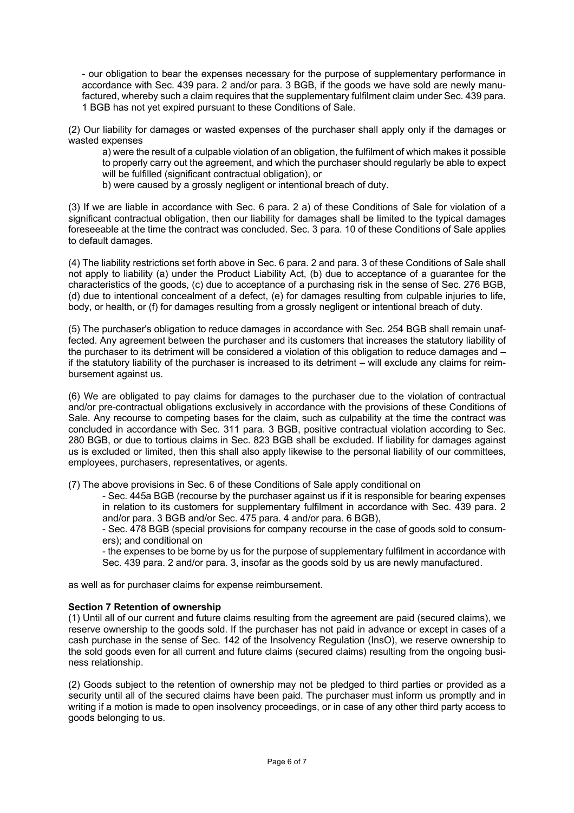- our obligation to bear the expenses necessary for the purpose of supplementary performance in accordance with Sec. 439 para. 2 and/or para. 3 BGB, if the goods we have sold are newly manufactured, whereby such a claim requires that the supplementary fulfilment claim under Sec. 439 para. 1 BGB has not yet expired pursuant to these Conditions of Sale.

(2) Our liability for damages or wasted expenses of the purchaser shall apply only if the damages or wasted expenses

a) were the result of a culpable violation of an obligation, the fulfilment of which makes it possible to properly carry out the agreement, and which the purchaser should regularly be able to expect will be fulfilled (significant contractual obligation), or

b) were caused by a grossly negligent or intentional breach of duty.

(3) If we are liable in accordance with Sec. 6 para. 2 a) of these Conditions of Sale for violation of a significant contractual obligation, then our liability for damages shall be limited to the typical damages foreseeable at the time the contract was concluded. Sec. 3 para. 10 of these Conditions of Sale applies to default damages.

(4) The liability restrictions set forth above in Sec. 6 para. 2 and para. 3 of these Conditions of Sale shall not apply to liability (a) under the Product Liability Act, (b) due to acceptance of a guarantee for the characteristics of the goods, (c) due to acceptance of a purchasing risk in the sense of Sec. 276 BGB, (d) due to intentional concealment of a defect, (e) for damages resulting from culpable injuries to life, body, or health, or (f) for damages resulting from a grossly negligent or intentional breach of duty.

(5) The purchaser's obligation to reduce damages in accordance with Sec. 254 BGB shall remain unaffected. Any agreement between the purchaser and its customers that increases the statutory liability of the purchaser to its detriment will be considered a violation of this obligation to reduce damages and – if the statutory liability of the purchaser is increased to its detriment – will exclude any claims for reimbursement against us.

(6) We are obligated to pay claims for damages to the purchaser due to the violation of contractual and/or pre-contractual obligations exclusively in accordance with the provisions of these Conditions of Sale. Any recourse to competing bases for the claim, such as culpability at the time the contract was concluded in accordance with Sec. 311 para. 3 BGB, positive contractual violation according to Sec. 280 BGB, or due to tortious claims in Sec. 823 BGB shall be excluded. If liability for damages against us is excluded or limited, then this shall also apply likewise to the personal liability of our committees, employees, purchasers, representatives, or agents.

(7) The above provisions in Sec. 6 of these Conditions of Sale apply conditional on

- Sec. 445a BGB (recourse by the purchaser against us if it is responsible for bearing expenses in relation to its customers for supplementary fulfilment in accordance with Sec. 439 para. 2 and/or para. 3 BGB and/or Sec. 475 para. 4 and/or para. 6 BGB),

- Sec. 478 BGB (special provisions for company recourse in the case of goods sold to consumers); and conditional on

- the expenses to be borne by us for the purpose of supplementary fulfilment in accordance with Sec. 439 para. 2 and/or para. 3, insofar as the goods sold by us are newly manufactured.

as well as for purchaser claims for expense reimbursement.

### **Section 7 Retention of ownership**

(1) Until all of our current and future claims resulting from the agreement are paid (secured claims), we reserve ownership to the goods sold. If the purchaser has not paid in advance or except in cases of a cash purchase in the sense of Sec. 142 of the Insolvency Regulation (InsO), we reserve ownership to the sold goods even for all current and future claims (secured claims) resulting from the ongoing business relationship.

(2) Goods subject to the retention of ownership may not be pledged to third parties or provided as a security until all of the secured claims have been paid. The purchaser must inform us promptly and in writing if a motion is made to open insolvency proceedings, or in case of any other third party access to goods belonging to us.